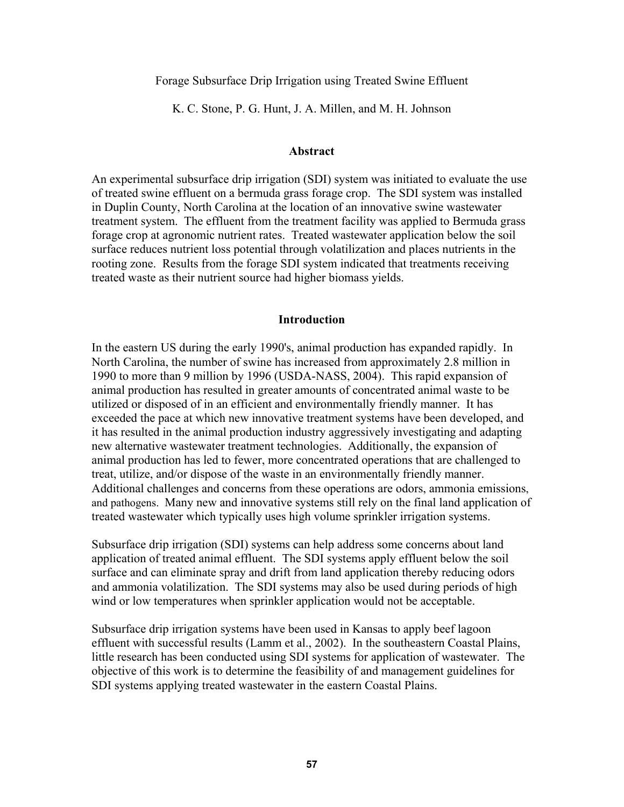Forage Subsurface Drip Irrigation using Treated Swine Effluent

K. C. Stone, P. G. Hunt, J. A. Millen, and M. H. Johnson

### **Abstract**

An experimental subsurface drip irrigation (SDI) system was initiated to evaluate the use of treated swine effluent on a bermuda grass forage crop. The SDI system was installed in Duplin County, North Carolina at the location of an innovative swine wastewater treatment system. The effluent from the treatment facility was applied to Bermuda grass forage crop at agronomic nutrient rates. Treated wastewater application below the soil surface reduces nutrient loss potential through volatilization and places nutrients in the rooting zone. Results from the forage SDI system indicated that treatments receiving treated waste as their nutrient source had higher biomass yields.

#### **Introduction**

In the eastern US during the early 1990's, animal production has expanded rapidly. In North Carolina, the number of swine has increased from approximately 2.8 million in 1990 to more than 9 million by 1996 (USDA-NASS, 2004). This rapid expansion of animal production has resulted in greater amounts of concentrated animal waste to be utilized or disposed of in an efficient and environmentally friendly manner. It has exceeded the pace at which new innovative treatment systems have been developed, and it has resulted in the animal production industry aggressively investigating and adapting new alternative wastewater treatment technologies. Additionally, the expansion of animal production has led to fewer, more concentrated operations that are challenged to treat, utilize, and/or dispose of the waste in an environmentally friendly manner. Additional challenges and concerns from these operations are odors, ammonia emissions, and pathogens. Many new and innovative systems still rely on the final land application of treated wastewater which typically uses high volume sprinkler irrigation systems.

Subsurface drip irrigation (SDI) systems can help address some concerns about land application of treated animal effluent. The SDI systems apply effluent below the soil surface and can eliminate spray and drift from land application thereby reducing odors and ammonia volatilization. The SDI systems may also be used during periods of high wind or low temperatures when sprinkler application would not be acceptable.

Subsurface drip irrigation systems have been used in Kansas to apply beef lagoon effluent with successful results (Lamm et al., 2002). In the southeastern Coastal Plains, little research has been conducted using SDI systems for application of wastewater. The objective of this work is to determine the feasibility of and management guidelines for SDI systems applying treated wastewater in the eastern Coastal Plains.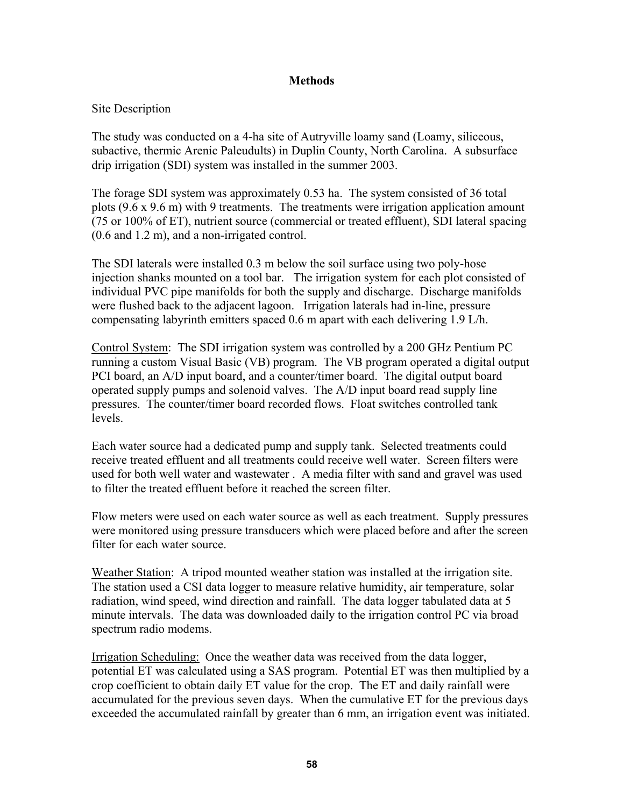## **Methods**

## Site Description

The study was conducted on a 4-ha site of Autryville loamy sand (Loamy, siliceous, subactive, thermic Arenic Paleudults) in Duplin County, North Carolina. A subsurface drip irrigation (SDI) system was installed in the summer 2003.

The forage SDI system was approximately 0.53 ha. The system consisted of 36 total plots (9.6 x 9.6 m) with 9 treatments. The treatments were irrigation application amount (75 or 100% of ET), nutrient source (commercial or treated effluent), SDI lateral spacing (0.6 and 1.2 m), and a non-irrigated control.

The SDI laterals were installed 0.3 m below the soil surface using two poly-hose injection shanks mounted on a tool bar. The irrigation system for each plot consisted of individual PVC pipe manifolds for both the supply and discharge. Discharge manifolds were flushed back to the adjacent lagoon. Irrigation laterals had in-line, pressure compensating labyrinth emitters spaced 0.6 m apart with each delivering 1.9 L/h.

Control System: The SDI irrigation system was controlled by a 200 GHz Pentium PC running a custom Visual Basic (VB) program. The VB program operated a digital output PCI board, an A/D input board, and a counter/timer board. The digital output board operated supply pumps and solenoid valves. The A/D input board read supply line pressures. The counter/timer board recorded flows. Float switches controlled tank levels.

Each water source had a dedicated pump and supply tank. Selected treatments could receive treated effluent and all treatments could receive well water. Screen filters were used for both well water and wastewater . A media filter with sand and gravel was used to filter the treated effluent before it reached the screen filter.

Flow meters were used on each water source as well as each treatment. Supply pressures were monitored using pressure transducers which were placed before and after the screen filter for each water source.

Weather Station: A tripod mounted weather station was installed at the irrigation site. The station used a CSI data logger to measure relative humidity, air temperature, solar radiation, wind speed, wind direction and rainfall. The data logger tabulated data at 5 minute intervals. The data was downloaded daily to the irrigation control PC via broad spectrum radio modems.

Irrigation Scheduling: Once the weather data was received from the data logger, potential ET was calculated using a SAS program. Potential ET was then multiplied by a crop coefficient to obtain daily ET value for the crop. The ET and daily rainfall were accumulated for the previous seven days. When the cumulative ET for the previous days exceeded the accumulated rainfall by greater than 6 mm, an irrigation event was initiated.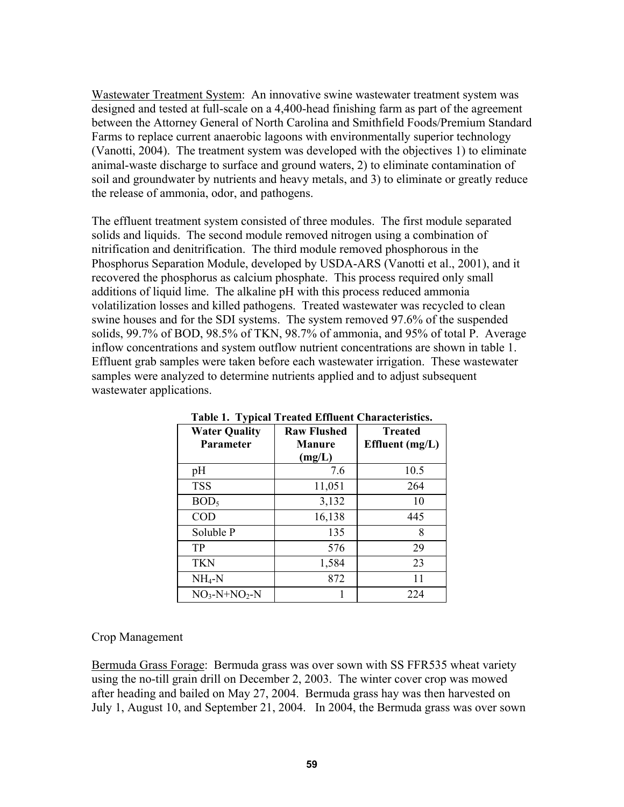Wastewater Treatment System: An innovative swine wastewater treatment system was designed and tested at full-scale on a 4,400-head finishing farm as part of the agreement between the Attorney General of North Carolina and Smithfield Foods/Premium Standard Farms to replace current anaerobic lagoons with environmentally superior technology (Vanotti, 2004). The treatment system was developed with the objectives 1) to eliminate animal-waste discharge to surface and ground waters, 2) to eliminate contamination of soil and groundwater by nutrients and heavy metals, and 3) to eliminate or greatly reduce the release of ammonia, odor, and pathogens.

The effluent treatment system consisted of three modules. The first module separated solids and liquids. The second module removed nitrogen using a combination of nitrification and denitrification. The third module removed phosphorous in the Phosphorus Separation Module, developed by USDA-ARS (Vanotti et al., 2001), and it recovered the phosphorus as calcium phosphate. This process required only small additions of liquid lime. The alkaline pH with this process reduced ammonia volatilization losses and killed pathogens. Treated wastewater was recycled to clean swine houses and for the SDI systems. The system removed 97.6% of the suspended solids, 99.7% of BOD, 98.5% of TKN, 98.7% of ammonia, and 95% of total P. Average inflow concentrations and system outflow nutrient concentrations are shown in table 1. Effluent grab samples were taken before each wastewater irrigation. These wastewater samples were analyzed to determine nutrients applied and to adjust subsequent wastewater applications.

| ◡<br><b>Water Quality</b><br><b>Parameter</b> | <b>Raw Flushed</b><br><b>Manure</b><br>(mg/L) | <b>Treated</b><br>Effluent $(mg/L)$ |
|-----------------------------------------------|-----------------------------------------------|-------------------------------------|
| pH                                            | 7.6                                           | 10.5                                |
| <b>TSS</b>                                    | 11,051                                        | 264                                 |
| BOD <sub>5</sub>                              | 3,132                                         | 10                                  |
| <b>COD</b>                                    | 16,138                                        | 445                                 |
| Soluble P                                     | 135                                           | 8                                   |
| <b>TP</b>                                     | 576                                           | 29                                  |
| <b>TKN</b>                                    | 1,584                                         | 23                                  |
| $NH_4-N$                                      | 872                                           | 11                                  |
| $NO3-N+NO2-N$                                 |                                               | 224                                 |

**Table 1. Typical Treated Effluent Characteristics.** 

# Crop Management

Bermuda Grass Forage: Bermuda grass was over sown with SS FFR535 wheat variety using the no-till grain drill on December 2, 2003. The winter cover crop was mowed after heading and bailed on May 27, 2004. Bermuda grass hay was then harvested on July 1, August 10, and September 21, 2004. In 2004, the Bermuda grass was over sown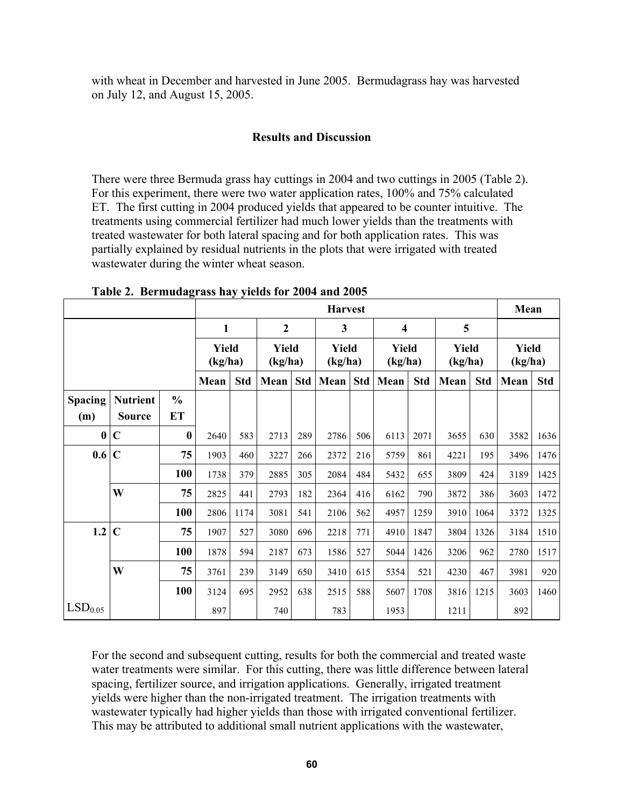with wheat in December and harvested in June 2005. Bermudagrass hay was harvested on July 12, and August 15, 2005.

## **Results and Discussion**

There were three Bermuda grass hay cuttings in 2004 and two cuttings in 2005 (Table 2). For this experiment, there were two water application rates, 100% and 75% calculated ET. The first cutting in 2004 produced yields that appeared to be counter intuitive. The treatments using commercial fertilizer had much lower yields than the treatments with treated wastewater for both lateral spacing and for both application rates. This was partially explained by residual nutrients in the plots that were irrigated with treated wastewater during the winter wheat season.

|                       |                                  |                     | <b>Harvest</b>          |            |                   |            |                         |                         |                  |            |                  | Mean       |                  |            |
|-----------------------|----------------------------------|---------------------|-------------------------|------------|-------------------|------------|-------------------------|-------------------------|------------------|------------|------------------|------------|------------------|------------|
|                       |                                  |                     | $\mathbf{1}$            |            | $\mathbf{2}$<br>3 |            |                         | $\overline{\mathbf{4}}$ |                  | 5          |                  |            |                  |            |
|                       |                                  |                     | <b>Yield</b><br>(kg/ha) |            | Yield<br>(kg/ha)  |            | <b>Yield</b><br>(kg/ha) |                         | Yield<br>(kg/ha) |            | Yield<br>(kg/ha) |            | Yield<br>(kg/ha) |            |
|                       |                                  |                     | Mean                    | <b>Std</b> | Mean              | <b>Std</b> | Mean                    | <b>Std</b>              | Mean             | <b>Std</b> | Mean             | <b>Std</b> | Mean             | <b>Std</b> |
| <b>Spacing</b><br>(m) | <b>Nutrient</b><br><b>Source</b> | $\frac{0}{0}$<br>ET |                         |            |                   |            |                         |                         |                  |            |                  |            |                  |            |
| $\boldsymbol{0}$      | $\mathbf C$                      | $\bf{0}$            | 2640                    | 583        | 2713              | 289        | 2786                    | 506                     | 6113             | 2071       | 3655             | 630        | 3582             | 1636       |
| 0.6                   | $\mathbf C$                      | 75                  | 1903                    | 460        | 3227              | 266        | 2372                    | 216                     | 5759             | 861        | 4221             | 195        | 3496             | 1476       |
|                       |                                  | 100                 | 1738                    | 379        | 2885              | 305        | 2084                    | 484                     | 5432             | 655        | 3809             | 424        | 3189             | 1425       |
|                       | W                                | 75                  | 2825                    | 441        | 2793              | 182        | 2364                    | 416                     | 6162             | 790        | 3872             | 386        | 3603             | 1472       |
|                       |                                  | 100                 | 2806                    | 1174       | 3081              | 541        | 2106                    | 562                     | 4957             | 1259       | 3910             | 1064       | 3372             | 1325       |
| 1.2                   | $\mathbf C$                      | 75                  | 1907                    | 527        | 3080              | 696        | 2218                    | 771                     | 4910             | 1847       | 3804             | 1326       | 3184             | 1510       |
|                       |                                  | 100                 | 1878                    | 594        | 2187              | 673        | 1586                    | 527                     | 5044             | 1426       | 3206             | 962        | 2780             | 1517       |
|                       | W                                | 75                  | 3761                    | 239        | 3149              | 650        | 3410                    | 615                     | 5354             | 521        | 4230             | 467        | 3981             | 920        |
|                       |                                  | 100                 | 3124                    | 695        | 2952              | 638        | 2515                    | 588                     | 5607             | 1708       | 3816             | 1215       | 3603             | 1460       |
| LSD <sub>0.05</sub>   |                                  |                     | 897                     |            | 740               |            | 783                     |                         | 1953             |            | 1211             |            | 892              |            |

**Table 2. Bermudagrass hay yields for 2004 and 2005** 

For the second and subsequent cutting, results for both the commercial and treated waste water treatments were similar. For this cutting, there was little difference between lateral spacing, fertilizer source, and irrigation applications. Generally, irrigated treatment yields were higher than the non-irrigated treatment. The irrigation treatments with wastewater typically had higher yields than those with irrigated conventional fertilizer. This may be attributed to additional small nutrient applications with the wastewater,